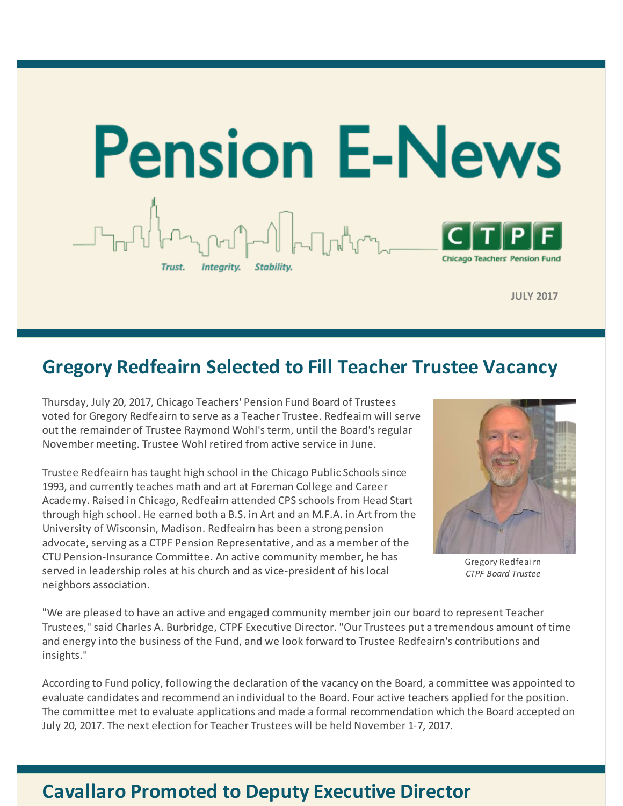

**JULY 2017**

## **Gregory Redfeairn Selected to Fill Teacher Trustee Vacancy**

Thursday, July 20, 2017, Chicago Teachers' Pension Fund Board of Trustees voted for Gregory Redfeairn to serve as a Teacher Trustee. Redfeairn will serve out the remainder of Trustee Raymond Wohl's term, until the Board's regular November meeting. Trustee Wohl retired from active service in June.

Trustee Redfeairn has taught high school in the Chicago Public Schools since 1993, and currently teaches math and art at Foreman College and Career Academy. Raised in Chicago, Redfeairn attended CPS schools from Head Start through high school. He earned both a B.S. in Art and an M.F.A. in Art from the University of Wisconsin, Madison. Redfeairn has been a strong pension advocate, serving as a CTPF Pension Representative, and as a member of the CTU Pension-Insurance Committee. An active community member, he has served in leadership roles at his church and as vice-president of his local neighbors association.



Gregory Redfeairn *CTPF Board Trustee*

"We are pleased to have an active and engaged community member join our board to represent Teacher Trustees," said Charles A. Burbridge, CTPF Executive Director. "Our Trustees put a tremendous amount of time and energy into the business of the Fund, and we look forward to Trustee Redfeairn's contributions and insights."

According to Fund policy, following the declaration of the vacancy on the Board, a committee was appointed to evaluate candidates and recommend an individual to the Board. Four active teachers applied for the position. The committee met to evaluate applications and made a formal recommendation which the Board accepted on July 20, 2017. The next election for Teacher Trustees will be held November 1-7, 2017.

### **Cavallaro Promoted to Deputy Executive Director**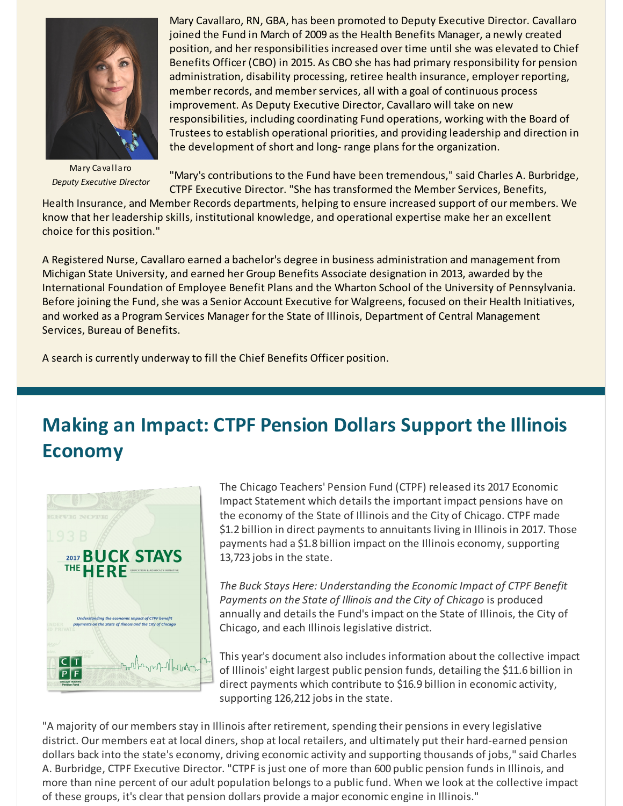

Mary Cavallaro *Deputy Executive Director*

Mary Cavallaro, RN, GBA, has been promoted to Deputy Executive Director. Cavallaro joined the Fund in March of 2009 as the Health Benefits Manager, a newly created position, and her responsibilities increased over time until she was elevated to Chief Benefits Officer (CBO) in 2015. As CBO she has had primary responsibility for pension administration, disability processing, retiree health insurance, employer reporting, member records, and memberservices, all with a goal of continuous process improvement. As Deputy Executive Director, Cavallaro will take on new responsibilities, including coordinating Fund operations, working with the Board of Trustees to establish operational priorities, and providing leadership and direction in the development of short and long- range plans for the organization.

"Mary's contributions to the Fund have been tremendous," said Charles A. Burbridge, CTPF Executive Director. "She has transformed the Member Services, Benefits,

Health Insurance, and Member Records departments, helping to ensure increased support of our members. We know that her leadership skills, institutional knowledge, and operational expertise make her an excellent choice for this position."

A Registered Nurse, Cavallaro earned a bachelor's degree in business administration and management from Michigan State University, and earned her Group Benefits Associate designation in 2013, awarded by the International Foundation of Employee Benefit Plans and the Wharton School of the University of Pennsylvania. Before joining the Fund, she was a Senior Account Executive for Walgreens, focused on their Health Initiatives, and worked as a Program Services Manager for the State of Illinois, Department of Central Management Services, Bureau of Benefits.

A search is currently underway to fill the Chief Benefits Officer position.

# **Making an Impact: CTPF Pension Dollars Support the Illinois Economy**



The Chicago Teachers' Pension Fund (CTPF) released its 2017 Economic Impact Statement which details the important impact pensions have on the economy of the State of Illinois and the City of Chicago. CTPF made \$1.2 billion in direct payments to annuitants living in Illinois in 2017. Those payments had a \$1.8 billion impact on the Illinois economy, supporting 13,723 jobs in the state.

*The Buck Stays Here: Understanding the Economic Impact of CTPF Benefit Payments on the State of Illinois and the City of Chicago* is produced annually and details the Fund's impact on the State of Illinois, the City of Chicago, and each Illinois legislative district.

This year's document also includes information about the collective impact of Illinois' eight largest public pension funds, detailing the \$11.6 billion in direct payments which contribute to \$16.9 billion in economic activity, supporting 126,212 jobs in the state.

"A majority of our members stay in Illinois after retirement, spending their pensions in every legislative district. Our members eat at local diners, shop at local retailers, and ultimately put their hard-earned pension dollars back into the state's economy, driving economic activity and supporting thousands of jobs," said Charles A. Burbridge, CTPF Executive Director. "CTPF is just one of more than 600 public pension funds in Illinois, and more than nine percent of our adult population belongs to a public fund. When we look at the collective impact of these groups, it's clear that pension dollars provide a major economic engine in Illinois."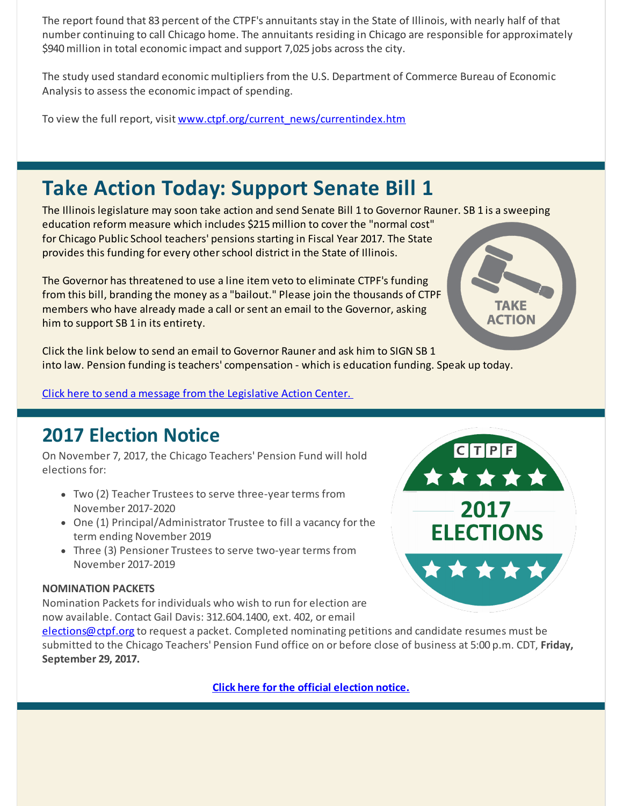The report found that 83 percent of the CTPF's annuitants stay in the State of Illinois, with nearly half of that number continuing to call Chicago home. The annuitants residing in Chicago are responsible for approximately \$940 million in total economic impact and support 7,025 jobs across the city.

The study used standard economic multipliers from the U.S. Department of Commerce Bureau of Economic Analysis to assess the economic impact of spending.

To view the full report, visit [www.ctpf.org/current\\_news/currentindex.htm](http://r20.rs6.net/tn.jsp?f=001zAd2w-XxK2YelaBqSgmlhDczW6PMR_dGEgsNn-WUeFJGjgZQ-GwrM8S2KcWt21qN6lSWgVmMQjIRtUvHSLcocT5hg5FNsA4YVKWeIRCtt1l8JLp9KpmQ03izFsqtO-Px-1lrZLWjCBT9spQuFWN42RI6bLfVGyMyYFmxC-NHyStG7anBSPQI2nkHqSV8c0TWl-iX4Ag8wsbqhsseA18WKQ==&c=&ch=)

# **Take Action Today: Support Senate Bill 1**

The Illinois legislature may soon take action and send Senate Bill 1 to Governor Rauner. SB 1 is a sweeping education reform measure which includes \$215 million to cover the "normal cost" for Chicago Public School teachers' pensions starting in Fiscal Year 2017. The State provides this funding for every otherschool district in the State of Illinois.

The Governor has threatened to use a line item veto to eliminate CTPF's funding from this bill, branding the money as a "bailout." Please join the thousands of CTPF members who have already made a call or sent an email to the Governor, asking him to support SB 1 in its entirety.

AKE **ACTION** 

Click the link below to send an email to Governor Rauner and ask him to SIGN SB 1 into law. Pension funding is teachers' compensation - which is education funding. Speak up today.

Click here to send a message from the [Legislative](http://r20.rs6.net/tn.jsp?f=001zAd2w-XxK2YelaBqSgmlhDczW6PMR_dGEgsNn-WUeFJGjgZQ-GwrM3Tn7iRUI1psUkbCeVzQFPwa6M69thyIAmwMuHIDFVC5HgQ6swGg4RuX2BgZ9mnom7OlH6kGe-x5fQbEW53hKUh9IGeDLk-oFX-mJi-d1iQ8kSDKQ6zKfZ3dzYh-tY__qOQIZovvnN-B&c=&ch=) Action Center.

## **2017 Election Notice**

On November 7, 2017, the Chicago Teachers' Pension Fund will hold elections for:

- Two (2) Teacher Trustees to serve three-year terms from November 2017-2020
- One (1) Principal/Administrator Trustee to fill a vacancy for the term ending November 2019
- Three (3) Pensioner Trustees to serve two-year terms from November 2017-2019

### **NOMINATION PACKETS**

Nomination Packets for individuals who wish to run for election are now available. Contact Gail Davis: 312.604.1400, ext. 402, or email

[elections@ctpf.org](mailto:elections@ctpf.org) to request a packet. Completed nominating petitions and candidate resumes must be submitted to the Chicago Teachers' Pension Fund office on or before close of business at 5:00 p.m. CDT, **Friday, September 29, 2017.**

**Click here for the official [election](http://r20.rs6.net/tn.jsp?f=001zAd2w-XxK2YelaBqSgmlhDczW6PMR_dGEgsNn-WUeFJGjgZQ-GwrM5s_Pb70RumWleZ5L0IuqhAkz1DDy3MHqO7Og2rvkF7hh7_eRqvauLemhL9tl9nkQHgrFVVrwu4zhXNvTxQ4FeeEz0mzqVGFl4_6vD9K9aM-Z98q2qNMEkafTWc1ud2QzezsXTVBtY0JBj7L5VTjNjhuZmRZu7QNZzt1Yr7juFR_zGnhxTm082w-aRNlso17l_GuRjN9oU2m&c=&ch=) notice.**

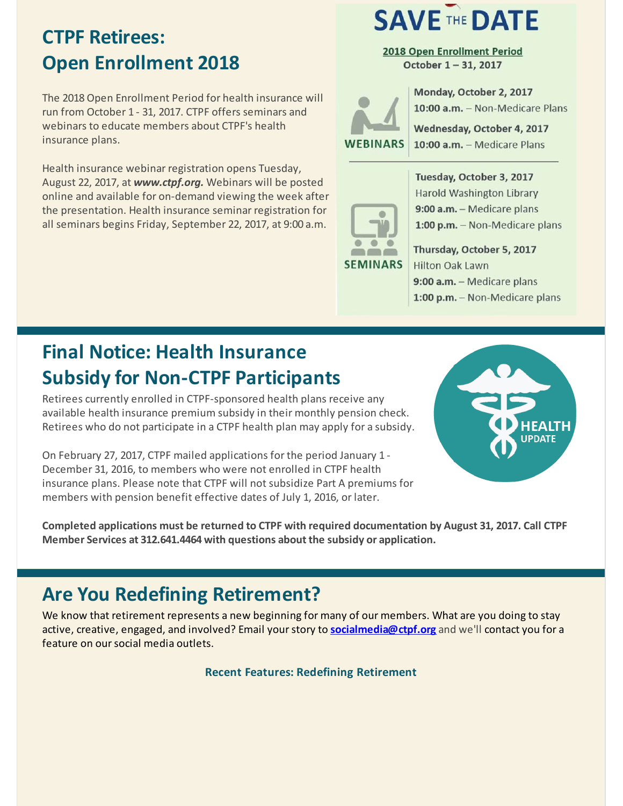# **CTPF Retirees: Open Enrollment 2018**

The 2018Open Enrollment Period for health insurance will run from October 1 - 31, 2017. CTPF offers seminars and webinars to educate members about CTPF's health insurance plans.

Health insurance webinar registration opens Tuesday, August 22, 2017, at *www.ctpf.org.* Webinars will be posted online and available for on-demand viewing the week after the presentation. Health insurance seminar registration for all seminars begins Friday, September 22, 2017, at 9:00 a.m.

# **SAVE THE DATE**

2018 Open Enrollment Period October 1-31, 2017

**WEBINARS** 

Monday, October 2, 2017 10:00 a.m. - Non-Medicare Plans

Wednesday, October 4, 2017 10:00 a.m. - Medicare Plans



Tuesday, October 3, 2017 **Harold Washington Library** 9:00 a.m. - Medicare plans 1:00 p.m. - Non-Medicare plans

Thursday, October 5, 2017 Hilton Oak Lawn 9:00 a.m. - Medicare plans 1:00 p.m. - Non-Medicare plans

# **Final Notice: Health Insurance Subsidy for Non-CTPF Participants**

Retirees currently enrolled in CTPF-sponsored health plans receive any available health insurance premium subsidy in their monthly pension check. Retirees who do not participate in a CTPF health plan may apply for a subsidy.

On February 27, 2017, CTPF mailed applications for the period January 1 - December 31, 2016, to members who were not enrolled in CTPF health insurance plans. Please note that CTPF will not subsidize Part A premiums for members with pension benefit effective dates of July 1, 2016, or later.



**Completed applications must be returned to CTPF with required documentation by August 31, 2017. Call CTPF Member Services at 312.641.4464 with questions about the subsidy or application.**

# **Are You Redefining Retirement?**

We know that retirement represents a new beginning for many of our members. What are you doing to stay active, creative, engaged, and involved? Email yourstory to **[socialmedia@ctpf.org](mailto:socialmedia@ctpf.org)** and we'll contact you for a feature on oursocial media outlets.

**Recent Features: Redefining Retirement**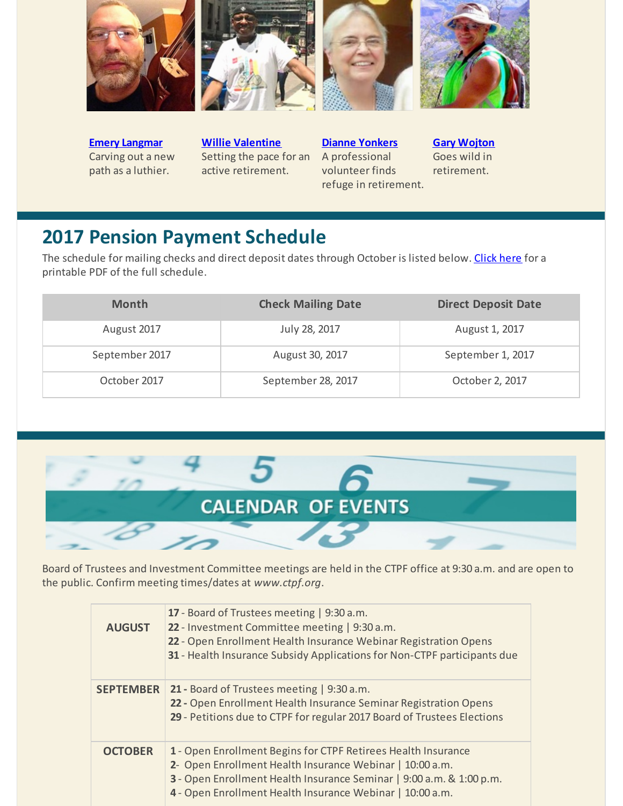

**Emery [Langmar](http://r20.rs6.net/tn.jsp?f=001zAd2w-XxK2YelaBqSgmlhDczW6PMR_dGEgsNn-WUeFJGjgZQ-GwrM9B8WYZXTDwvx_EVN-jAN_AON3g4MG38ENQttIWVgvgJxIISzoG_-qw_pIJ-ocPbfIxs1haHX2XUdtjrNjk5xmM5cNgPZ4RaAcmdSmcAiOgdUvHjJpEIO-HDjP0OnhCAzx3yBCLnOyWQr8B_Yr7dPbers2vDEqVNqDKoQATn6hldufIn4tks-yym83-J6X39_uoEp0kuQ4ILl26nFvXJilQ=&c=&ch=)** Carving out a new path as a luthier.

**Willie [Valentine](http://r20.rs6.net/tn.jsp?f=001zAd2w-XxK2YelaBqSgmlhDczW6PMR_dGEgsNn-WUeFJGjgZQ-GwrM5s_Pb70RumWM-bLd8iEUikUIdJ3yt1tlHXZkpyHrO6PTkne-HrM3XW2PCDyZF5v_K3S7kvJp3rPIfOBNM5Ee90OqXVgASNOjaerzbheqwm1tYvRGwLk7uHXcNdE3fRxdWzpPrggMpKt1vmqCiViH7iRh482dlW2eERTW6EiVegoSShLg7vzb7i5HGZ_mWmfnvqk8m_SNQnCrPiPIcX1nyILf1NHSOWcAPrfZTW1ThqEHs0vDac_G_Xp9JrqEYRk1iylH3Srmv2L&c=&ch=)** Setting the pace for an active retirement.

**Dianne [Yonkers](http://r20.rs6.net/tn.jsp?f=001zAd2w-XxK2YelaBqSgmlhDczW6PMR_dGEgsNn-WUeFJGjgZQ-GwrM9B8WYZXTDwvBEC0osOShsYrnl0FlqIgxUM0Ka3qAJfxDHdUWsS3_tkQ7zf8mGCkldVKMEcTKpdtXVO3iSjjjDN0qzVCdMzP6nm9eqL4HJjsfEyZShLpDSgIwO99V3zftsnE0uf3nz8UHZ3mN4sBMm4VcDLk-oosgAWJLqy0vU-GoNmUYWMNkJR7GZZoXHxtgKEMzoHa9GKveBS8sG_mC2VqEkFxbmJocV7y1Z2QZrCz9bZ4Dw67DuE=&c=&ch=)** A professional volunteer finds refuge in retirement.

**Gary [Wojton](http://r20.rs6.net/tn.jsp?f=001zAd2w-XxK2YelaBqSgmlhDczW6PMR_dGEgsNn-WUeFJGjgZQ-GwrM9B8WYZXTDwv8fSLQfS2vfPetQI9yGGiz34CXgjzxK5tX1wpSunZhw81-PqP2aCqtVVBSWNRLMiLK3hNkLaktRX7ur3fvMkDGZh-N5hxDIWeOhdbliR1sk7I3AG3o9CPT-sxnIs2wtdmL84b1aBSfeBVd9E2eL6FRbPBgSnswJaPe7GFcbwtV0LtlyEh4-hmm8muAcG8TxrMjBV4uoIpTBg=&c=&ch=)** Goes wild in retirement.

## **2017 Pension Payment Schedule**

The schedule for mailing checks and direct deposit dates through October is listed below. [Click](http://r20.rs6.net/tn.jsp?f=001zAd2w-XxK2YelaBqSgmlhDczW6PMR_dGEgsNn-WUeFJGjgZQ-GwrM7Yv5CArfThbePgcZY_XaLq_7_9e18_N788MuWytYtQ2z-2brNnGrBYRsJVry_W7HiYzCzcGHnQ5YMAig8aV0AiNFHhBv-1xJjIWYC91OjPLdwCBH2kIVYN7ZSl4Wiv_Hw2UdqRQNXTyPf1w_Okt3wxowqGzeQ3B6g==&c=&ch=) here for a printable PDF of the full schedule.

| <b>Month</b>   | <b>Check Mailing Date</b> | <b>Direct Deposit Date</b> |
|----------------|---------------------------|----------------------------|
| August 2017    | July 28, 2017             | August 1, 2017             |
| September 2017 | August 30, 2017           | September 1, 2017          |
| October 2017   | September 28, 2017        | October 2, 2017            |



Board of Trustees and Investment Committee meetings are held in the CTPF office at 9:30 a.m. and are open to the public. Confirm meeting times/dates at *www.ctpf.org*.

| <b>AUGUST</b>    | 17 - Board of Trustees meeting   9:30 a.m.<br>22 - Investment Committee meeting   9:30 a.m.<br>22 - Open Enrollment Health Insurance Webinar Registration Opens<br>31 - Health Insurance Subsidy Applications for Non-CTPF participants due                    |
|------------------|----------------------------------------------------------------------------------------------------------------------------------------------------------------------------------------------------------------------------------------------------------------|
| <b>SEPTEMBER</b> | 21 - Board of Trustees meeting   9:30 a.m.<br>22 - Open Enrollment Health Insurance Seminar Registration Opens<br>29 - Petitions due to CTPF for regular 2017 Board of Trustees Elections                                                                      |
| <b>OCTOBER</b>   | 1 - Open Enrollment Begins for CTPF Retirees Health Insurance<br>2- Open Enrollment Health Insurance Webinar   10:00 a.m.<br>3 - Open Enrollment Health Insurance Seminar   9:00 a.m. & 1:00 p.m.<br>4 - Open Enrollment Health Insurance Webinar   10:00 a.m. |